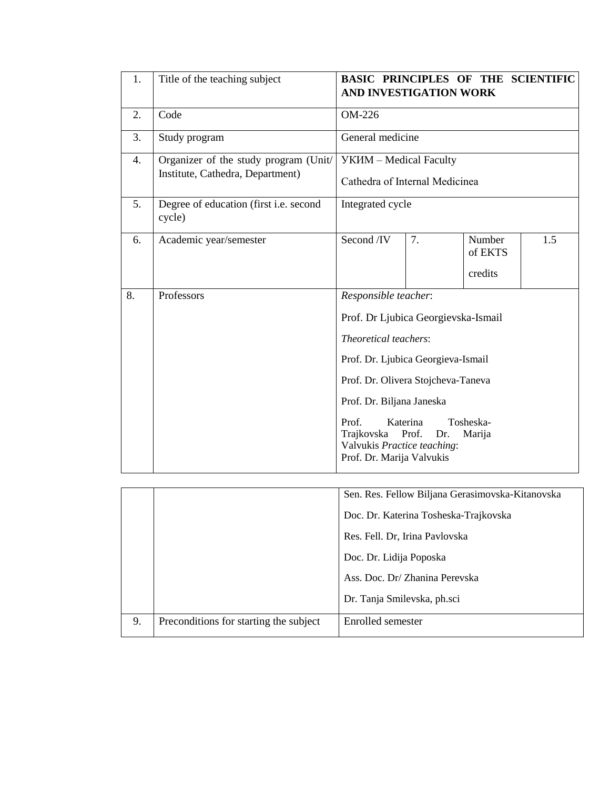| 1. | Title of the teaching subject                                             | <b>BASIC PRINCIPLES OF THE SCIENTIFIC</b><br><b>AND INVESTIGATION WORK</b>                                                                                                                                                                                                       |                          |                              |     |
|----|---------------------------------------------------------------------------|----------------------------------------------------------------------------------------------------------------------------------------------------------------------------------------------------------------------------------------------------------------------------------|--------------------------|------------------------------|-----|
| 2. | Code                                                                      | OM-226                                                                                                                                                                                                                                                                           |                          |                              |     |
| 3. | Study program                                                             |                                                                                                                                                                                                                                                                                  | General medicine         |                              |     |
| 4. | Organizer of the study program (Unit/<br>Institute, Cathedra, Department) | <b>YKIM</b> - Medical Faculty<br>Cathedra of Internal Medicinea                                                                                                                                                                                                                  |                          |                              |     |
| 5. | Degree of education (first i.e. second<br>cycle)                          | Integrated cycle                                                                                                                                                                                                                                                                 |                          |                              |     |
| 6. | Academic year/semester                                                    | Second /IV                                                                                                                                                                                                                                                                       | 7.                       | Number<br>of EKTS<br>credits | 1.5 |
| 8. | Professors                                                                | Responsible teacher:<br>Prof. Dr Ljubica Georgievska-Ismail<br>Theoretical teachers:<br>Prof. Dr. Ljubica Georgieva-Ismail<br>Prof. Dr. Olivera Stojcheva-Taneva<br>Prof. Dr. Biljana Janeska<br>Prof.<br>Trajkovska<br>Valvukis Practice teaching:<br>Prof. Dr. Marija Valvukis | Katerina<br>Prof.<br>Dr. | Tosheska-<br>Marija          |     |

|    |                                        | Sen. Res. Fellow Biljana Gerasimovska-Kitanovska |
|----|----------------------------------------|--------------------------------------------------|
|    |                                        | Doc. Dr. Katerina Tosheska-Trajkovska            |
|    |                                        | Res. Fell. Dr, Irina Pavlovska                   |
|    |                                        | Doc. Dr. Lidija Poposka                          |
|    |                                        | Ass. Doc. Dr/ Zhanina Perevska                   |
|    |                                        | Dr. Tanja Smilevska, ph.sci                      |
| 9. | Preconditions for starting the subject | Enrolled semester                                |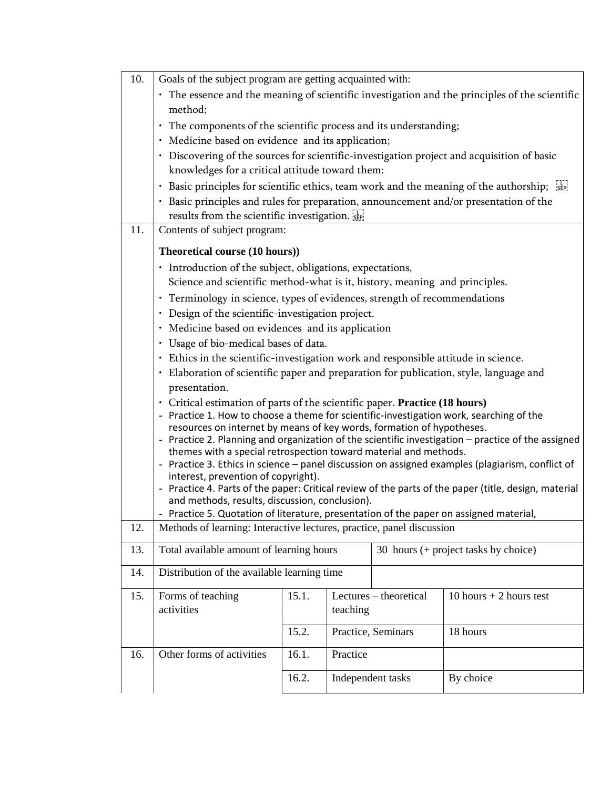| 10. | Goals of the subject program are getting acquainted with:                                                                                                              |                                                   |          |                                      |                                                                                                     |  |  |
|-----|------------------------------------------------------------------------------------------------------------------------------------------------------------------------|---------------------------------------------------|----------|--------------------------------------|-----------------------------------------------------------------------------------------------------|--|--|
|     | • The essence and the meaning of scientific investigation and the principles of the scientific                                                                         |                                                   |          |                                      |                                                                                                     |  |  |
|     | method;                                                                                                                                                                |                                                   |          |                                      |                                                                                                     |  |  |
|     | · The components of the scientific process and its understanding;                                                                                                      |                                                   |          |                                      |                                                                                                     |  |  |
|     |                                                                                                                                                                        | · Medicine based on evidence and its application; |          |                                      |                                                                                                     |  |  |
|     | · Discovering of the sources for scientific-investigation project and acquisition of basic                                                                             |                                                   |          |                                      |                                                                                                     |  |  |
|     | knowledges for a critical attitude toward them:                                                                                                                        |                                                   |          |                                      |                                                                                                     |  |  |
|     | $\bullet$                                                                                                                                                              |                                                   |          |                                      | Basic principles for scientific ethics, team work and the meaning of the authorship; $\frac{1}{25}$ |  |  |
|     | · Basic principles and rules for preparation, announcement and/or presentation of the                                                                                  |                                                   |          |                                      |                                                                                                     |  |  |
|     | results from the scientific investigation.                                                                                                                             |                                                   |          |                                      |                                                                                                     |  |  |
| 11. | Contents of subject program:                                                                                                                                           |                                                   |          |                                      |                                                                                                     |  |  |
|     | Theoretical course (10 hours))                                                                                                                                         |                                                   |          |                                      |                                                                                                     |  |  |
|     | · Introduction of the subject, obligations, expectations,                                                                                                              |                                                   |          |                                      |                                                                                                     |  |  |
|     | Science and scientific method-what is it, history, meaning and principles.                                                                                             |                                                   |          |                                      |                                                                                                     |  |  |
|     | · Terminology in science, types of evidences, strength of recommendations                                                                                              |                                                   |          |                                      |                                                                                                     |  |  |
|     | Design of the scientific-investigation project.                                                                                                                        |                                                   |          |                                      |                                                                                                     |  |  |
|     | Medicine based on evidences and its application                                                                                                                        |                                                   |          |                                      |                                                                                                     |  |  |
|     | Usage of bio-medical bases of data.                                                                                                                                    |                                                   |          |                                      |                                                                                                     |  |  |
|     | · Ethics in the scientific-investigation work and responsible attitude in science.                                                                                     |                                                   |          |                                      |                                                                                                     |  |  |
|     | Elaboration of scientific paper and preparation for publication, style, language and                                                                                   |                                                   |          |                                      |                                                                                                     |  |  |
|     | presentation.<br>· Critical estimation of parts of the scientific paper. Practice (18 hours)                                                                           |                                                   |          |                                      |                                                                                                     |  |  |
|     | - Practice 1. How to choose a theme for scientific-investigation work, searching of the                                                                                |                                                   |          |                                      |                                                                                                     |  |  |
|     | resources on internet by means of key words, formation of hypotheses.                                                                                                  |                                                   |          |                                      |                                                                                                     |  |  |
|     | - Practice 2. Planning and organization of the scientific investigation - practice of the assigned<br>themes with a special retrospection toward material and methods. |                                                   |          |                                      |                                                                                                     |  |  |
|     | - Practice 3. Ethics in science - panel discussion on assigned examples (plagiarism, conflict of                                                                       |                                                   |          |                                      |                                                                                                     |  |  |
|     | interest, prevention of copyright).                                                                                                                                    |                                                   |          |                                      |                                                                                                     |  |  |
|     | - Practice 4. Parts of the paper: Critical review of the parts of the paper (title, design, material                                                                   |                                                   |          |                                      |                                                                                                     |  |  |
|     | and methods, results, discussion, conclusion).<br>- Practice 5. Quotation of literature, presentation of the paper on assigned material,                               |                                                   |          |                                      |                                                                                                     |  |  |
| 12. | Methods of learning: Interactive lectures, practice, panel discussion                                                                                                  |                                                   |          |                                      |                                                                                                     |  |  |
| 13. | Total available amount of learning hours                                                                                                                               |                                                   |          | 30 hours (+ project tasks by choice) |                                                                                                     |  |  |
| 14. | Distribution of the available learning time                                                                                                                            |                                                   |          |                                      |                                                                                                     |  |  |
| 15. | Forms of teaching                                                                                                                                                      | 15.1.                                             |          | Lectures - theoretical               | 10 hours $+$ 2 hours test                                                                           |  |  |
|     | activities                                                                                                                                                             |                                                   | teaching |                                      |                                                                                                     |  |  |
|     |                                                                                                                                                                        | 15.2.                                             |          | Practice, Seminars                   | 18 hours                                                                                            |  |  |
| 16. | Other forms of activities                                                                                                                                              | 16.1.                                             | Practice |                                      |                                                                                                     |  |  |
|     |                                                                                                                                                                        | 16.2.                                             |          | Independent tasks                    | By choice                                                                                           |  |  |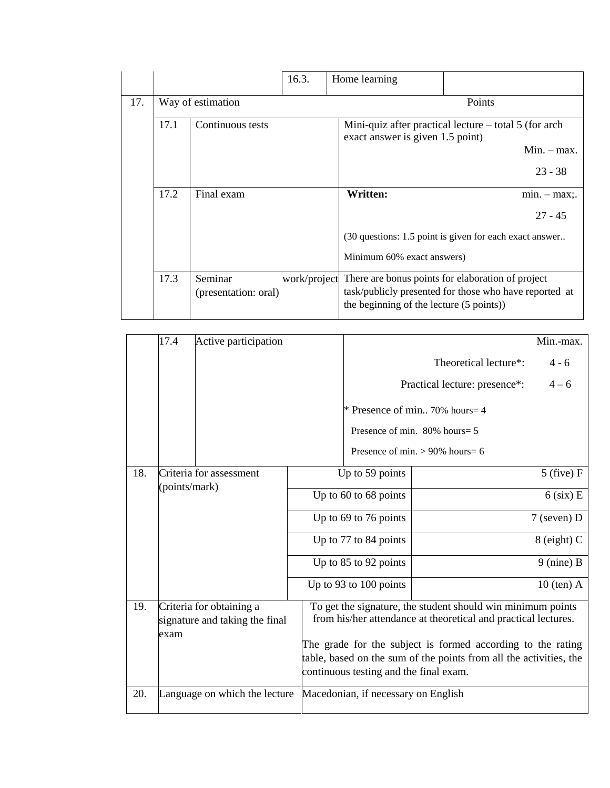|     |                   |                                 | 16.3. | Home learning                                                                                                                                                        |  |                |
|-----|-------------------|---------------------------------|-------|----------------------------------------------------------------------------------------------------------------------------------------------------------------------|--|----------------|
| 17. | Way of estimation |                                 |       | Points                                                                                                                                                               |  |                |
|     | 17.1              | Continuous tests                |       | Mini-quiz after practical lecture $-$ total 5 (for arch<br>exact answer is given 1.5 point)                                                                          |  |                |
|     |                   |                                 |       |                                                                                                                                                                      |  | $Min. - max.$  |
|     |                   |                                 |       |                                                                                                                                                                      |  | $23 - 38$      |
|     | 17.2              | Final exam                      |       | <b>Written:</b>                                                                                                                                                      |  | $min. - max$ . |
|     |                   |                                 |       |                                                                                                                                                                      |  | $27 - 45$      |
|     |                   |                                 |       | (30 questions: 1.5 point is given for each exact answer                                                                                                              |  |                |
|     |                   |                                 |       | Minimum 60% exact answers)                                                                                                                                           |  |                |
|     | 17.3              | Seminar<br>(presentation: oral) |       | work/project There are bonus points for elaboration of project<br>task/publicly presented for those who have reported at<br>the beginning of the lecture (5 points)) |  |                |

|     | 17.4          | Active participation                                       |                                                                                                                                                                                                                                                                                                              |                       |                                     | Min.-max.      |
|-----|---------------|------------------------------------------------------------|--------------------------------------------------------------------------------------------------------------------------------------------------------------------------------------------------------------------------------------------------------------------------------------------------------------|-----------------------|-------------------------------------|----------------|
|     |               |                                                            |                                                                                                                                                                                                                                                                                                              |                       | Theoretical lecture*:               | $4 - 6$        |
|     |               |                                                            |                                                                                                                                                                                                                                                                                                              |                       | Practical lecture: presence*:       | $4 - 6$        |
|     |               |                                                            |                                                                                                                                                                                                                                                                                                              |                       | * Presence of min 70% hours= $4$    |                |
|     |               |                                                            |                                                                                                                                                                                                                                                                                                              |                       | Presence of min. 80% hours= 5       |                |
|     |               |                                                            |                                                                                                                                                                                                                                                                                                              |                       | Presence of min. $> 90\%$ hours = 6 |                |
| 18. |               | Criteria for assessment                                    |                                                                                                                                                                                                                                                                                                              | Up to 59 points       |                                     | $5$ (five) $F$ |
|     | (points/mark) |                                                            | Up to 60 to 68 points                                                                                                                                                                                                                                                                                        |                       |                                     | $6$ (six) E    |
|     |               |                                                            | Up to 69 to 76 points                                                                                                                                                                                                                                                                                        |                       |                                     | $7$ (seven) D  |
|     |               |                                                            | Up to 77 to 84 points                                                                                                                                                                                                                                                                                        |                       |                                     | $8$ (eight) C  |
|     |               |                                                            |                                                                                                                                                                                                                                                                                                              | Up to 85 to 92 points |                                     | $9$ (nine) B   |
|     |               |                                                            | Up to 93 to 100 points                                                                                                                                                                                                                                                                                       |                       |                                     | $10$ (ten) A   |
| 19. | exam          | Criteria for obtaining a<br>signature and taking the final | To get the signature, the student should win minimum points<br>from his/her attendance at theoretical and practical lectures.<br>The grade for the subject is formed according to the rating<br>table, based on the sum of the points from all the activities, the<br>continuous testing and the final exam. |                       |                                     |                |
| 20. |               | Language on which the lecture                              | Macedonian, if necessary on English                                                                                                                                                                                                                                                                          |                       |                                     |                |